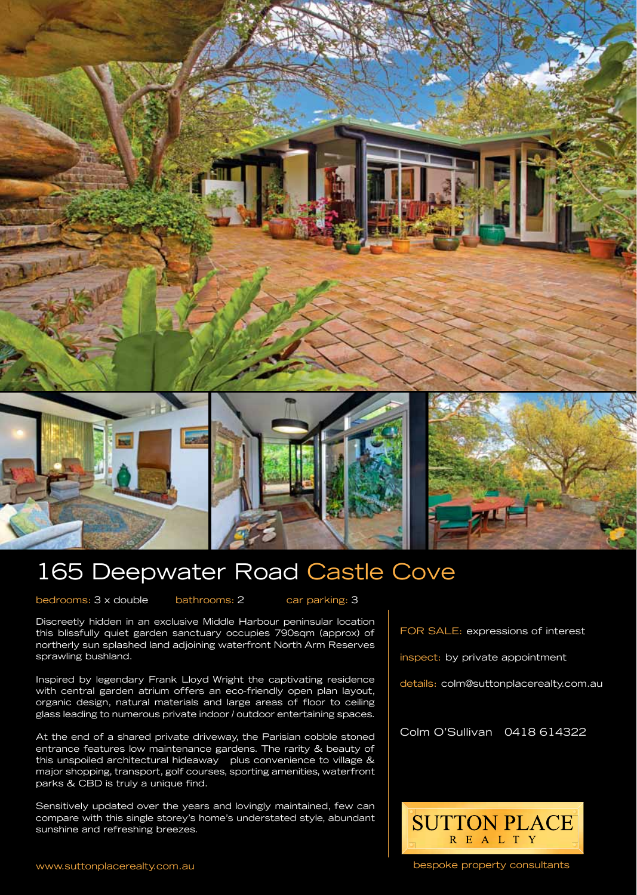





## 165 Deepwater Road Castle Cove

bedrooms: 3 x double bathrooms: 2 car parking: 3

Discreetly hidden in an exclusive Middle Harbour peninsular location this blissfully quiet garden sanctuary occupies 790sqm (approx) of northerly sun splashed land adjoining waterfront North Arm Reserves sprawling bushland.

Inspired by legendary Frank Lloyd Wright the captivating residence with central garden atrium offers an eco-friendly open plan layout, organic design, natural materials and large areas of floor to ceiling glass leading to numerous private indoor / outdoor entertaining spaces.

At the end of a shared private driveway, the Parisian cobble stoned entrance features low maintenance gardens. The rarity & beauty of this unspoiled architectural hideaway plus convenience to village & major shopping, transport, golf courses, sporting amenities, waterfront parks & CBD is truly a unique find.

Sensitively updated over the years and lovingly maintained, few can compare with this single storey's home's understated style, abundant sunshine and refreshing breezes.

FOR SALE: expressions of interest

inspect: by private appointment

details: colm@suttonplacerealty.com.au

Colm O'Sullivan 0418 614322



bespoke property consultants